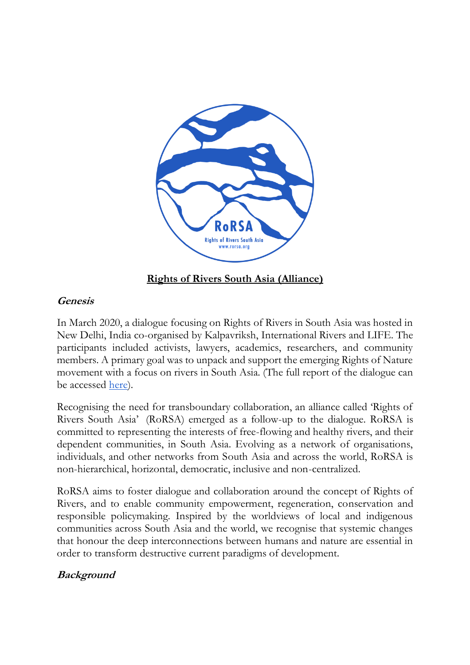

### **Rights of Rivers South Asia (Alliance)**

#### **Genesis**

In March 2020, a dialogue focusing on Rights of Rivers in South Asia was hosted in New Delhi, India co-organised by Kalpavriksh, International Rivers and LIFE. The participants included activists, lawyers, academics, researchers, and community members. A primary goal was to unpack and support the emerging Rights of Nature movement with a focus on rivers in South Asia. (The full report of the dialogue can be accessed <u>here</u>).

Recognising the need for transboundary collaboration, an alliance called 'Rights of Rivers South Asia' (RoRSA) emerged as a follow-up to the dialogue. RoRSA is committed to representing the interests of free-flowing and healthy rivers, and their dependent communities, in South Asia. Evolving as a network of organisations, individuals, and other networks from South Asia and across the world, RoRSA is non-hierarchical, horizontal, democratic, inclusive and non-centralized.

RoRSA aims to foster dialogue and collaboration around the concept of Rights of Rivers, and to enable community empowerment, regeneration, conservation and responsible policymaking. Inspired by the worldviews of local and indigenous communities across South Asia and the world, we recognise that systemic changes that honour the deep interconnections between humans and nature are essential in order to transform destructive current paradigms of development.

# **Background**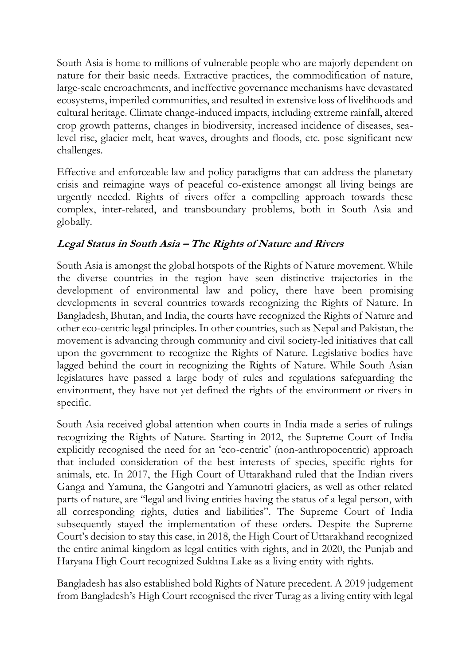South Asia is home to millions of vulnerable people who are majorly dependent on nature for their basic needs. Extractive practices, the commodification of nature, large-scale encroachments, and ineffective governance mechanisms have devastated ecosystems, imperiled communities, and resulted in extensive loss of livelihoods and cultural heritage. Climate change-induced impacts, including extreme rainfall, altered crop growth patterns, changes in biodiversity, increased incidence of diseases, sealevel rise, glacier melt, heat waves, droughts and floods, etc. pose significant new challenges.

Effective and enforceable law and policy paradigms that can address the planetary crisis and reimagine ways of peaceful co-existence amongst all living beings are urgently needed. Rights of rivers offer a compelling approach towards these complex, inter-related, and transboundary problems, both in South Asia and globally.

# **Legal Status in South Asia – The Rights of Nature and Rivers**

South Asia is amongst the global hotspots of the Rights of Nature movement. While the diverse countries in the region have seen distinctive trajectories in the development of environmental law and policy, there have been promising developments in several countries towards recognizing the Rights of Nature. In Bangladesh, Bhutan, and India, the courts have recognized the Rights of Nature and other eco-centric legal principles. In other countries, such as Nepal and Pakistan, the movement is advancing through community and civil society-led initiatives that call upon the government to recognize the Rights of Nature. Legislative bodies have lagged behind the court in recognizing the Rights of Nature. While South Asian legislatures have passed a large body of rules and regulations safeguarding the environment, they have not yet defined the rights of the environment or rivers in specific.

South Asia received global attention when courts in India made a series of rulings recognizing the Rights of Nature. Starting in 2012, the Supreme Court of India explicitly recognised the need for an 'eco-centric' (non-anthropocentric) approach that included consideration of the best interests of species, specific rights for animals, etc. In 2017, the High Court of Uttarakhand ruled that the Indian rivers Ganga and Yamuna, the Gangotri and Yamunotri glaciers, as well as other related parts of nature, are "legal and living entities having the status of a legal person, with all corresponding rights, duties and liabilities". The Supreme Court of India subsequently stayed the implementation of these orders. Despite the Supreme Court's decision to stay this case, in 2018, the High Court of Uttarakhand recognized the entire animal kingdom as legal entities with rights, and in 2020, the Punjab and Haryana High Court recognized Sukhna Lake as a living entity with rights.

Bangladesh has also established bold Rights of Nature precedent. A 2019 judgement from Bangladesh's High Court recognised the river Turag as a living entity with legal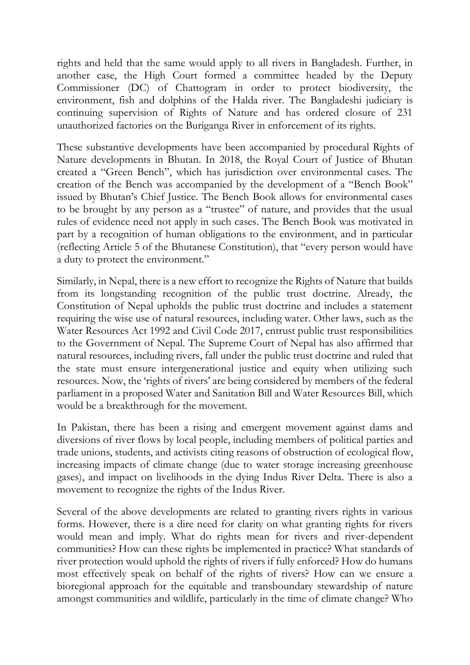rights and held that the same would apply to all rivers in Bangladesh. Further, in another case, the High Court formed a committee headed by the Deputy Commissioner (DC) of Chattogram in order to protect biodiversity, the environment, fish and dolphins of the Halda river. The Bangladeshi judiciary is continuing supervision of Rights of Nature and has ordered closure of 231 unauthorized factories on the Buriganga River in enforcement of its rights.

These substantive developments have been accompanied by procedural Rights of Nature developments in Bhutan. In 2018, the Royal Court of Justice of Bhutan created a "Green Bench", which has jurisdiction over environmental cases. The creation of the Bench was accompanied by the development of a "Bench Book" issued by Bhutan's Chief Justice. The Bench Book allows for environmental cases to be brought by any person as a "trustee" of nature, and provides that the usual rules of evidence need not apply in such cases. The Bench Book was motivated in part by a recognition of human obligations to the environment, and in particular (reflecting Article 5 of the Bhutanese Constitution), that "every person would have a duty to protect the environment."

Similarly, in Nepal, there is a new effort to recognize the Rights of Nature that builds from its longstanding recognition of the public trust doctrine. Already, the Constitution of Nepal upholds the public trust doctrine and includes a statement requiring the wise use of natural resources, including water. Other laws, such as the Water Resources Act 1992 and Civil Code 2017, entrust public trust responsibilities to the Government of Nepal. The Supreme Court of Nepal has also affirmed that natural resources, including rivers, fall under the public trust doctrine and ruled that the state must ensure intergenerational justice and equity when utilizing such resources. Now, the 'rights of rivers' are being considered by members of the federal parliament in a proposed Water and Sanitation Bill and Water Resources Bill, which would be a breakthrough for the movement.

In Pakistan, there has been a rising and emergent movement against dams and diversions of river flows by local people, including members of political parties and trade unions, students, and activists citing reasons of obstruction of ecological flow, increasing impacts of climate change (due to water storage increasing greenhouse gases), and impact on livelihoods in the dying Indus River Delta. There is also a movement to recognize the rights of the Indus River.

Several of the above developments are related to granting rivers rights in various forms. However, there is a dire need for clarity on what granting rights for rivers would mean and imply. What do rights mean for rivers and river-dependent communities? How can these rights be implemented in practice? What standards of river protection would uphold the rights of rivers if fully enforced? How do humans most effectively speak on behalf of the rights of rivers? How can we ensure a bioregional approach for the equitable and transboundary stewardship of nature amongst communities and wildlife, particularly in the time of climate change? Who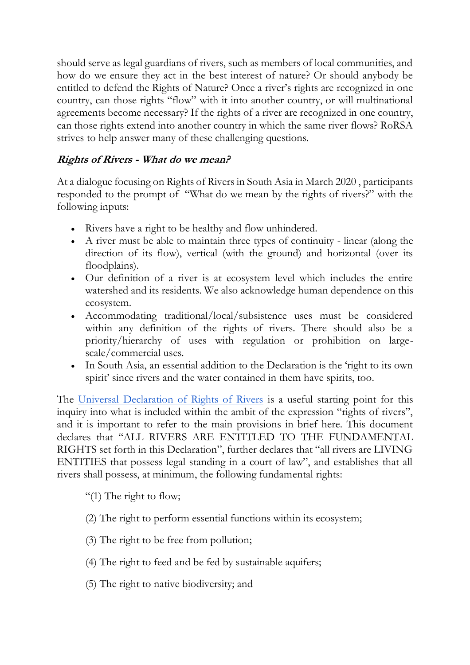should serve as legal guardians of rivers, such as members of local communities, and how do we ensure they act in the best interest of nature? Or should anybody be entitled to defend the Rights of Nature? Once a river's rights are recognized in one country, can those rights "flow" with it into another country, or will multinational agreements become necessary? If the rights of a river are recognized in one country, can those rights extend into another country in which the same river flows? RoRSA strives to help answer many of these challenging questions.

### **Rights of Rivers - What do we mean?**

At a dialogue focusing on Rights of Rivers in South Asia in March 2020 , participants responded to the prompt of "What do we mean by the rights of rivers?" with the following inputs:

- Rivers have a right to be healthy and flow unhindered.
- A river must be able to maintain three types of continuity linear (along the direction of its flow), vertical (with the ground) and horizontal (over its floodplains).
- Our definition of a river is at ecosystem level which includes the entire watershed and its residents. We also acknowledge human dependence on this ecosystem.
- Accommodating traditional/local/subsistence uses must be considered within any definition of the rights of rivers. There should also be a priority/hierarchy of uses with regulation or prohibition on largescale/commercial uses.
- In South Asia, an essential addition to the Declaration is the 'right to its own spirit' since rivers and the water contained in them have spirits, too.

The [Universal Declaration of Rights of Rivers](https://www.rightsofrivers.org/#declaration) is a useful starting point for this inquiry into what is included within the ambit of the expression "rights of rivers", and it is important to refer to the main provisions in brief here. This document declares that "ALL RIVERS ARE ENTITLED TO THE FUNDAMENTAL RIGHTS set forth in this Declaration", further declares that "all rivers are LIVING ENTITIES that possess legal standing in a court of law", and establishes that all rivers shall possess, at minimum, the following fundamental rights:

"(1) The right to flow;

- (2) The right to perform essential functions within its ecosystem;
- (3) The right to be free from pollution;
- (4) The right to feed and be fed by sustainable aquifers;
- (5) The right to native biodiversity; and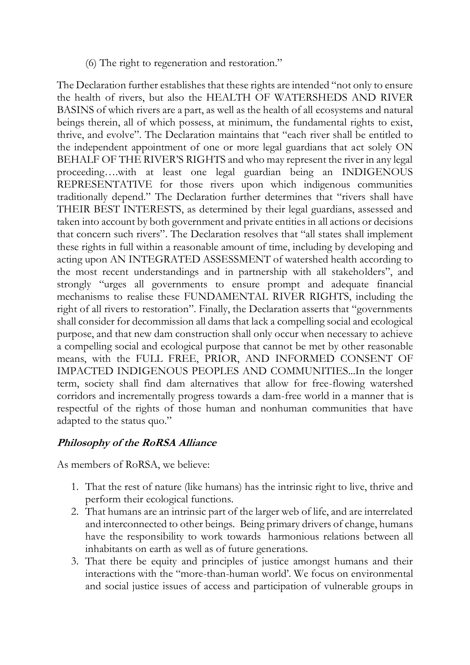(6) The right to regeneration and restoration."

The Declaration further establishes that these rights are intended "not only to ensure the health of rivers, but also the HEALTH OF WATERSHEDS AND RIVER BASINS of which rivers are a part, as well as the health of all ecosystems and natural beings therein, all of which possess, at minimum, the fundamental rights to exist, thrive, and evolve". The Declaration maintains that "each river shall be entitled to the independent appointment of one or more legal guardians that act solely ON BEHALF OF THE RIVER'S RIGHTS and who may represent the river in any legal proceeding….with at least one legal guardian being an INDIGENOUS REPRESENTATIVE for those rivers upon which indigenous communities traditionally depend." The Declaration further determines that "rivers shall have THEIR BEST INTERESTS, as determined by their legal guardians, assessed and taken into account by both government and private entities in all actions or decisions that concern such rivers". The Declaration resolves that "all states shall implement these rights in full within a reasonable amount of time, including by developing and acting upon AN INTEGRATED ASSESSMENT of watershed health according to the most recent understandings and in partnership with all stakeholders", and strongly "urges all governments to ensure prompt and adequate financial mechanisms to realise these FUNDAMENTAL RIVER RIGHTS, including the right of all rivers to restoration". Finally, the Declaration asserts that "governments shall consider for decommission all dams that lack a compelling social and ecological purpose, and that new dam construction shall only occur when necessary to achieve a compelling social and ecological purpose that cannot be met by other reasonable means, with the FULL FREE, PRIOR, AND INFORMED CONSENT OF IMPACTED INDIGENOUS PEOPLES AND COMMUNITIES...In the longer term, society shall find dam alternatives that allow for free-flowing watershed corridors and incrementally progress towards a dam-free world in a manner that is respectful of the rights of those human and nonhuman communities that have adapted to the status quo."

#### **Philosophy of the RoRSA Alliance**

As members of RoRSA, we believe:

- 1. That the rest of nature (like humans) has the intrinsic right to live, thrive and perform their ecological functions.
- 2. That humans are an intrinsic part of the larger web of life, and are interrelated and interconnected to other beings. Being primary drivers of change, humans have the responsibility to work towards harmonious relations between all inhabitants on earth as well as of future generations.
- 3. That there be equity and principles of justice amongst humans and their interactions with the "more-than-human world'. We focus on environmental and social justice issues of access and participation of vulnerable groups in